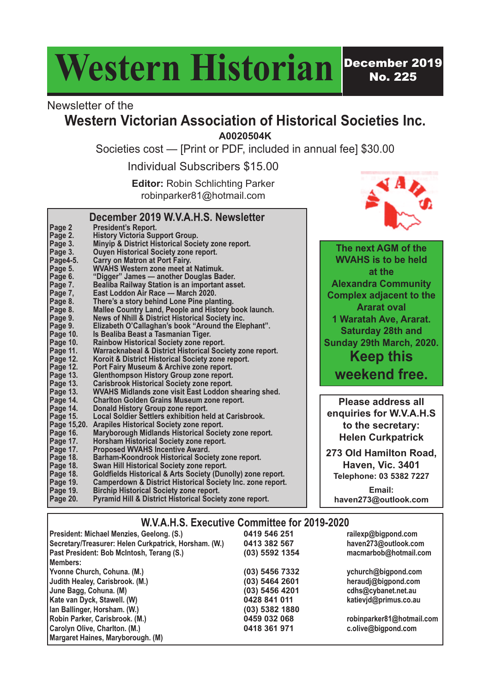# Western Historian<sup>Pecember 2019</sup>

No. 225

#### Newsletter of the

**Page 2 President's Report.**

**Page 2. History Victoria Support Group.**

**Page 3. Ouyen Historical Society zone report. Page4-5. Carry on Matron at Port Fairy.**

**Page 7, East Loddon Air Race — March 2020. Page 8. There's a story behind Lone Pine planting.**

**Page 10. Is Bealiba Beast a Tasmanian Tiger. Page 10. Rainbow Historical Society zone report.**

**Page 14. Donald History Group zone report.**

**Page 17. Proposed WVAHS Incentive Award.**

**Page 15,20. Arapiles Historical Society zone report.**

**Page 15.20.** Arapiles Historical Society zone report.<br> **Page 16.** Maryborough Midlands Historical Societ<br>
Page 17. Horsham Historical Society zone report.<br>
Page 17. Proposed WVAHS Incentive Award.

**Page 18. Swan Hill Historical Society zone report.**

**Page 19. Birchip Historical Society zone report.**

**Page 5. WVAHS Western zone meet at Natimuk. Page 6. "Digger" James — another Douglas Bader. Page 7. Bealiba Railway Station is an important asset.**

**Page 3. Minyip & District Historical Society zone report.**

**Page 8. Mallee Country Land, People and History book launch.**

**Page 11. Warracknabeal & District Historical Society zone report.**

**Page 13. WVAHS Midlands zone visit East Loddon shearing shed.**

**Page 15. Local Soldier Settlers exhibition held at Carisbrook.**

**Page 16. Maryborough Midlands Historical Society zone report.**

**Page 18. Barham-Koondrook Historical Society zone report.**

**Page 20. Pyramid Hill & District Historical Society zone report.**

**Page 18. Goldfields Historical & Arts Society (Dunolly) zone report. Page 19. Camperdown & District Historical Society Inc. zone report.**

**Page 9. News of Nhill & District Historical Society inc. Page 9. Elizabeth O'Callaghan's book "Around the Elephant".**

**Page 12. Koroit & District Historical Society zone report. Page 11.** Warracknabeal & District Historical Society<br> **Page 12.** Koroit & District Historical Society zone re<br> **Page 12.** Port Fairy Museum & Archive zone report.<br> **Page 13.** Glenthompson History Group zone report. **Page 13. Glenthompson History Group zone report. Page 13. Carisbrook Historical Society zone report.**

**Page 14. Charlton Golden Grains Museum zone report.**

#### **Western Victorian Association of Historical Societies Inc.**

**A0020504K**

Societies cost — [Print or PDF, included in annual fee] \$30.00

Individual Subscribers \$15.00

**Editor:** Robin Schlichting Parker robinparker81@hotmail.com

**December 2019 W.V.A.H.S. Newsletter**



**The next AGM of the WVAHS is to be held at the Alexandra Community Complex adjacent to the Ararat oval 1 Waratah Ave, Ararat. Saturday 28th and Sunday 29th March, 2020. Keep this weekend free.**

**Please address all enquiries for W.V.A.H.S to the secretary: Helen Curkpatrick**

**273 Old Hamilton Road, Haven, Vic. 3401 Telephone: 03 5382 7227**

**Email: haven273@outlook.com**

|  |  | W.V.A.H.S. Executive Committee for 2019-2020 |  |  |  |
|--|--|----------------------------------------------|--|--|--|
|--|--|----------------------------------------------|--|--|--|

| President: Michael Menzies, Geelong. (S.)             | 0419 546 251   | railexp@bigpond.com       |
|-------------------------------------------------------|----------------|---------------------------|
| Secretary/Treasurer: Helen Curkpatrick, Horsham. (W.) | 0413 382 567   | haven273@outlook.com      |
| Past President: Bob McIntosh, Terang (S.)             | (03) 5592 1354 | macmarbob@hotmail.com     |
| Members:                                              |                |                           |
| Yvonne Church, Cohuna. (M.)                           | (03) 5456 7332 | ychurch@bigpond.com       |
| Judith Healey, Carisbrook. (M.)                       | (03) 5464 2601 | heraudj@bigpond.com       |
| June Bagg, Cohuna. (M)                                | (03) 5456 4201 | cdhs@cybanet.net.au       |
| Kate van Dyck, Stawell. (W)                           | 0428 841 011   | katievjd@primus.co.au     |
| Ian Ballinger, Horsham. (W.)                          | (03) 5382 1880 |                           |
| Robin Parker, Carisbrook. (M.)                        | 0459 032 068   | robinparker81@hotmail.com |
| Carolyn Olive, Charlton. (M.)                         | 0418 361 971   | c.olive@bigpond.com       |
| Margaret Haines, Maryborough. (M)                     |                |                           |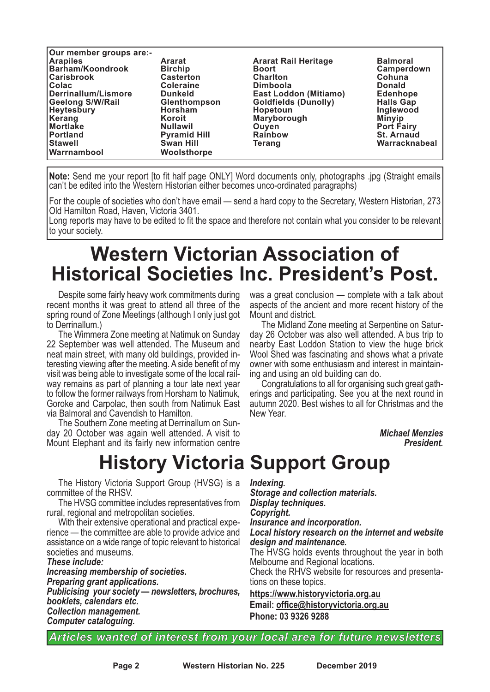| Our member groups are:- |                     |                              |                   |
|-------------------------|---------------------|------------------------------|-------------------|
| <b>Arapiles</b>         | <b>Ararat</b>       | <b>Ararat Rail Heritage</b>  | <b>Balmoral</b>   |
| Barham/Koondrook        | <b>Birchip</b>      | <b>Boort</b>                 | Camperdown        |
| <b>Carisbrook</b>       | <b>Casterton</b>    | <b>Charlton</b>              | Cohuna            |
| Colac                   | <b>Coleraine</b>    | <b>Dimboola</b>              | <b>Donald</b>     |
| Derrinallum/Lismore     | <b>Dunkeld</b>      | <b>East Loddon (Mitiamo)</b> | <b>Edenhope</b>   |
| <b>Geelong S/W/Rail</b> | <b>Glenthompson</b> | <b>Goldfields (Dunolly)</b>  | <b>Halls Gap</b>  |
| <b>Heytesbury</b>       | <b>Horsham</b>      | Hopetoun                     | Inglewood         |
| Kerang                  | Koroit              | Maryborough                  | <b>Minyip</b>     |
| Mortlake                | <b>Nullawil</b>     | Ouyen                        | <b>Port Fairy</b> |
| <b>IPortland</b>        | <b>Pyramid Hill</b> | <b>Rainbow</b>               | <b>St. Arnaud</b> |
| <b>Stawell</b>          | <b>Swan Hill</b>    | Terang                       | Warracknabeal     |
| Warrnambool             | Woolsthorpe         |                              |                   |

**Note:** Send me your report [to fit half page ONLY] Word documents only, photographs .jpg (Straight emails can't be edited into the Western Historian either becomes unco-ordinated paragraphs)

For the couple of societies who don't have email — send a hard copy to the Secretary, Western Historian, 273 Old Hamilton Road, Haven, Victoria 3401.

Long reports may have to be edited to fit the space and therefore not contain what you consider to be relevant to your society.

## **Western Victorian Association of Historical Societies Inc. President's Post.**

Despite some fairly heavy work commitments during recent months it was great to attend all three of the spring round of Zone Meetings (although I only just got to Derrinallum.)

The Wimmera Zone meeting at Natimuk on Sunday 22 September was well attended. The Museum and neat main street, with many old buildings, provided in-<br>teresting viewing after the meeting. A side benefit of my<br>visit was being able to investigate some of the local railway remains as part of planning a tour late next year to follow the former railways from Horsham to Natimuk, Goroke and Carpolac, then south from Natimuk East via Balmoral and Cavendish to Hamilton.

The Southern Zone meeting at Derrinallum on Sunday 20 October was again well attended. A visit to Mount Elephant and its fairly new information centre

## **History Victoria Support Group**

The History Victoria Support Group (HVSG) is a committee of the RHSV.

The HVSG committee includes representatives from rural, regional and metropolitan societies.

With their extensive operational and practical experience — the committee are able to provide advice and assistance on a wide range of topic relevant to historical societies and museums

*These include: Increasing membership of societies. Preparing grant applications. Publicising your society — newsletters, brochures, booklets, calendars etc. Collection management. Computer cataloguing.*

was a great conclusion — complete with a talk about aspects of the ancient and more recent history of the Mount and district.

The Midland Zone meeting at Serpentine on Satur-<br>day 26 October was also well attended. A bus trip to nearby East Loddon Station to view the huge brick Wool Shed was fascinating and shows what a private owner with some enthusiasm and interest in maintain-

ing and using an old building can do.<br>Congratulations to all for organising such great gath-<br>erings and participating. See you at the next round in autumn 2020. Best wishes to all for Christmas and the New Year.

> *Michael Menzies President.*

#### *Indexing.*

*Storage and collection materials. Display techniques. Copyright.*

*Insurance and incorporation.*

#### *Local history research on the internet and website design and maintenance.*

The HVSG holds events throughout the year in both Melbourne and Regional locations.

Check the RHVS website for resources and presentations on these topics.

**https://www.historyvictoria.org.au Email: office@historyvictoria.org.au Phone: 03 9326 9288**

*Articles wanted of interest from your local area for future newsletters*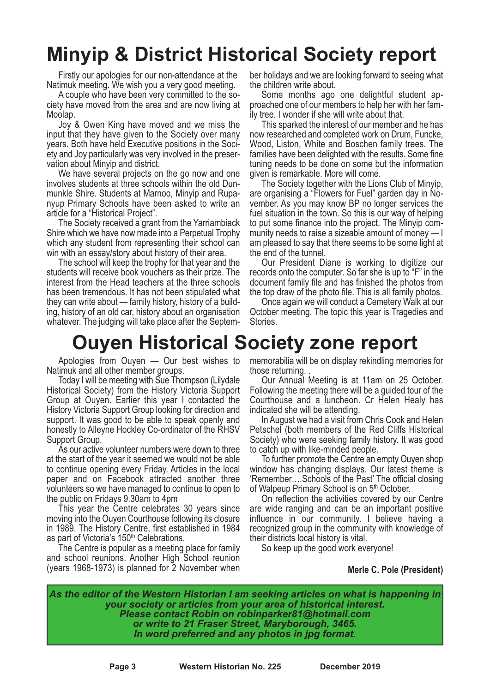## **Minyip & District Historical Society report**

Firstly our apologies for our non-attendance at the Natimuk meeting. We wish you a very good meeting.

A couple who have been very committed to the society have moved from the area and are now living at Moolap.

Joy & Owen King have moved and we miss the input that they have given to the Society over many years. Both have held Executive positions in the Society and Joy particularly was very involved in the preservation about Minyip and district.

We have several projects on the go now and one involves students at three schools within the old Dunmunkle Shire. Students at Marnoo, Minyip and Rupa- nyup Primary Schools have been asked to write an

article for <sup>a</sup> "Historical Project". The Society received <sup>a</sup> grant from the Yarriambiack Shire which we have now made into a Perpetual Trophy which any student from representing their school can

win with an essay/story about history of their area. The school will keep the trophy for that year and the students will receive book vouchers as their prize. The interest from the Head teachers at the three schools has been tremendous. It has not been stipulated what they can write about — family history, history of <sup>a</sup> build- ing, history of an old car, history about an organisation whatever. The judging will take place after the Septem-

ber holidays and we are looking forward to seeing what the children write about.

Some months ago one delightful student ap-<br>proached one of our members to help her with her fam-<br>ily tree. I wonder if she will write about that.<br>This sparked the interest of our member and he has<br>now researched and comple

Wood, Liston, White and Boschen family trees. The families have been delighted with the results. Some fine tuning needs to be done on some but the information given is remarkable. More will come.

The Society together with the Lions Club of Minyip, are organising a "Flowers for Fuel" garden day in November. As you may know BP no longer services the fuel situation in the town. So this is our way of helping to put some finance into the project. The Minyip community needs to raise a sizeable amount of money — I am pleased to say that there seems to be some light at the end of the tunnel.

Our President Diane is working to digitize our records onto the computer. So far she is up to "F" in the document family file and has finished the photos from the top draw of the photo file. This is all family photos.

Once again we will conduct a Cemetery Walk at our October meeting. The topic this year is Tragedies and Stories.

## **Ouyen Historical Society zone report**

Apologies from Ouyen — Our best wishes to Natimuk and all other member groups.

Today I will be meeting with Sue Thompson (Lilydale Historical Society) from the History Victoria Support Group at Ouyen. Earlier this year I contacted the History Victoria Support Group looking for direction and support. It was good to be able to speak openly and honestly to Alleyne Hockley Co-ordinator of the RHSV Support Group.

As our active volunteer numbers were down to three at the start of the year it seemed we would not be able to continue opening every Friday. Articles in the local paper and on Facebook attracted another three volunteers so we have managed to continue to open to the public on Fridays 9.30am to 4pm

This year the Centre celebrates 30 years since moving into the Ouyen Courthouse following its closure in 1989. The History Centre, first established in 1984 as part of Victoria's 150<sup>th</sup> Celebrations.

The Centre is popular as a meeting place for family and school reunions. Another High School reunion (years 1968-1973) is planned for 2 November when memorabilia will be on display rekindling memories for those returning. .

Our Annual Meeting is at 11am on <sup>25</sup> October. Following the meeting there will be <sup>a</sup> guided tour of the Courthouse and a luncheon. Cr Helen Healy has indicated she will be attending.

In August we had a visit from Chris Cook and Helen Petschel (both members of the Red Cliffs Historical Society) who were seeking family history. It was good to catch up with like-minded people.

To further promote the Centre an empty Ouyen shop window has changing displays. Our latest theme is 'Remember….Schools of the Past' The official closing of Walpeup Primary School is on 5<sup>th</sup> October.

On reflection the activities covered by our Centre are wide ranging and can be an important positive influence in our community. I believe having a recognized group in the community with knowledge of their districts local history is vital.

So keep up the good work everyone!

#### **Merle C. Pole (President)**

*As the editor of the Western Historian I am seeking articles on what is happening in your society or articles from your area of historical interest. Please contact Robin on robinparker81@hotmail.com or write to 21 Fraser Street, Maryborough, 3465. In word preferred and any photos in jpg format.*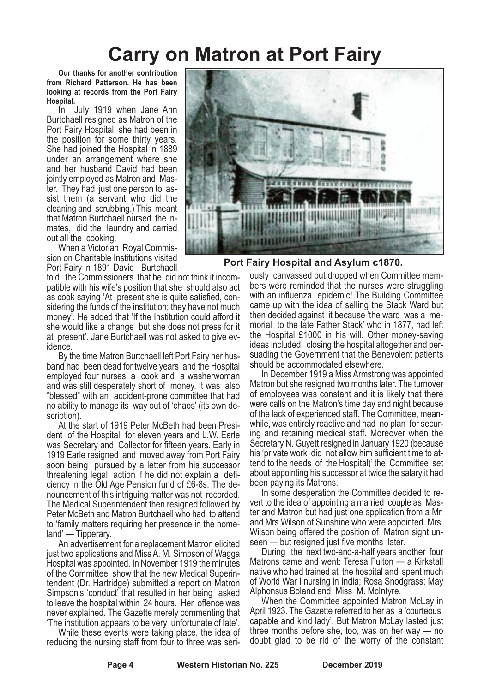## **Carry on Matron at Port Fairy**

**Our thanks for another contribution from Richard Patterson. He has been looking at records from the Port Fairy Hospital.**

In July 1919 when Jane Ann Burtchaell resigned as Matron of the Port Fairy Hospital, she had been in the position for some thirty years. She had joined the Hospital in 1889 under an arrangement where she and her husband David had been jointly employed as Matron and Master. They had just one person to assist them (a servant who did the cleaning and scrubbing.) This meant that Matron Burtchaell nursed the inmates, did the laundry and carried out all the cooking.

When a Victorian Royal Commission on Charitable Institutions visited Port Fairy in 1891 David Burtchaell

told the Commissioners that he did not think it incompatible with his wife's position that she should also act as cook saying 'At present she is quite satisfied, considering the funds of the institution; they have not much money'. He added that 'If the Institution could afford it she would like a change but she does not press for it at present'. Jane Burtchaell was not asked to give evidence.

By the time Matron Burtchaell left Port Fairy her husband had been dead for twelve years and the Hospital employed four nurses, a cook and a washerwoman and was still desperately short of money. It was also "blessed" with an accident-prone committee that had no ability to manage its way out of 'chaos' (its own description).

At the start of 1919 Peter McBeth had been President of the Hospital for eleven years and L.W. Earle was Secretary and Collector for fifteen years. Early in 1919 Earle resigned and moved away from Port Fairy soon being pursued by a letter from his successor threatening legal action if he did not explain a deficiency in the Old Age Pension fund of £6-8s. The denouncement of this intriguing matter was not recorded. The Medical Superintendent then resigned followed by Peter McBeth and Matron Burtchaell who had to attend to 'family matters requiring her presence in the homeland' — Tipperary.

An advertisement for a replacement Matron elicited just two applications and Miss A. M. Simpson of Wagga Hospital was appointed. In November 1919 the minutes of the Committee show that the new Medical Superintendent (Dr. Hartridge) submitted a report on Matron Simpson's 'conduct' that resulted in her being asked to leave the hospital within 24 hours. Her offence was never explained. The Gazette merely commenting that 'The institution appears to be very unfortunate of late'.

While these events were taking place, the idea of reducing the nursing staff from four to three was seri-



**Port Fairy Hospital and Asylum c1870.**

ously canvassed but dropped when Committee members were reminded that the nurses were struggling with an influenza epidemic! The Building Committee came up with the idea of selling the Stack Ward but then decided against it because 'the ward was a memorial to the late Father Stack' who in 1877, had left the Hospital £1000 in his will. Other money-saving ideas included closing the hospital altogether and persuading the Government that the Benevolent patients should be accommodated elsewhere.

In December 1919 a Miss Armstrong was appointed Matron but she resigned two months later. The turnover of employees was constant and it is likely that there were calls on the Matron's time day and night because of the lack of experienced staff. The Committee, meanwhile, was entirely reactive and had no plan for securing and retaining medical staff. Moreover when the Secretary N. Guyett resigned in January 1920 (because his 'private work did not allow him sufficient time to attend to the needs of the Hospital)' the Committee set about appointing his successor at twice the salary it had been paying its Matrons.

In some desperation the Committee decided to revert to the idea of appointing a married couple as Master and Matron but had just one application from a Mr. and Mrs Wilson of Sunshine who were appointed. Mrs. Wilson being offered the position of Matron sight un-<br>seen — but resigned just five months later.<br>During the next two-and-a-half years another four

Matrons came and went: Teresa Fulton — a Kirkstall native who had trained at the hospital and spent much of World War I nursing in India; Rosa Snodgrass; May

Alphonsus Boland and Miss M. McIntyre. When the Committee appointed Matron McLay in April 1923. The Gazette referred to her as a 'courteous, capable and kind lady'. But Matron McLay lasted just three months before she, too, was on her way — no doubt glad to be rid of the worry of the constant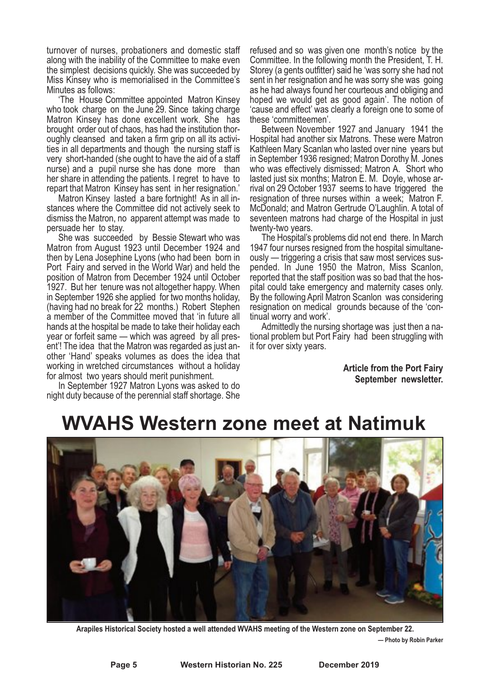turnover of nurses, probationers and domestic staff along with the inability of the Committee to make even the simplest decisions quickly. She was succeeded by Miss Kinsey who is memorialised in the Committee's

Minutes as follows: 'The House Committee appointed Matron Kinsey who took charge on the June 29. Since taking charge Matron Kinsey has done excellent work. She has brought order out of chaos, has had the institution thor- oughly cleansed and taken <sup>a</sup> firm grip on all its activi- ties in all departments and though the nursing staff is very short-handed (she ought to have the aid of a staff nurse) and a pupil nurse she has done more than her share in attending the patients. I regret to have to repart that Matron Kinsey has sent in her resignation.'

Matron Kinsey lasted a bare fortnight! As in all instances where the Committee did not actively seek to dismiss the Matron, no apparent attempt was made to persuade her to stay.

She was succeeded by Bessie Stewart who was Matron from August 1923 until December 1924 and then by Lena Josephine Lyons (who had been born in Port Fairy and served in the World War) and held the position of Matron from December 1924 until October 1927. But her tenure was not altogether happy. When in September 1926 she applied for two months holiday, (having had no break for 22 months.) Robert Stephen a member of the Committee moved that 'in future all hands at the hospital be made to take their holiday each year or forfeit same — which was agreed by all present'! The idea that the Matron was regarded as just another 'Hand' speaks volumes as does the idea that working in wretched circumstances without a holiday for almost two years should merit punishment.

In September 1927 Matron Lyons was asked to do night duty because of the perennial staff shortage. She

refused and so was given one month's notice by the Committee. In the following month the President, T. H. Storey (a gents outfitter) said he 'was sorry she had not sent in her resignation and he was sorry she was going as he had always found her courteous and obliging and hoped we would get as good again'. The notion of 'cause and effect' was clearly a foreign one to some of these 'committeemen'.

Between November 1927 and January 1941 the Hospital had another six Matrons. These were Matron Kathleen Mary Scanlan who lasted over nine years but in September 1936 resigned; Matron Dorothy M. Jones who was effectively dismissed; Matron A. Short who lasted just six months; Matron E. M. Doyle, whose arrival on 29 October 1937 seems to have triggered the resignation of three nurses within a week; Matron F. McDonald; and Matron Gertrude O'Laughlin. A total of seventeen matrons had charge of the Hospital in just twenty-two years.

The Hospital's problems did not end there. In March 1947 four nurses resigned from the hospital simultaneously — triggering a crisis that saw most services sus-<br>pended. In June 1950 the Matron, Miss Scanlon, reported that the staff position was so bad that the hospital could take emergency and maternity cases only. By the following April Matron Scanlon was considering resignation on medical grounds because of the 'continual worry and work'.

Admittedly the nursing shortage was just then a national problem but Port Fairy had been struggling with it for over sixty years.

> **Article from the Port Fairy September newsletter.**

## **WVAHS Western zone meet at Natimuk**



**Arapiles Historical Society hosted a well attended WVAHS meeting of the Western zone on September 22. — Photo by Robin Parker**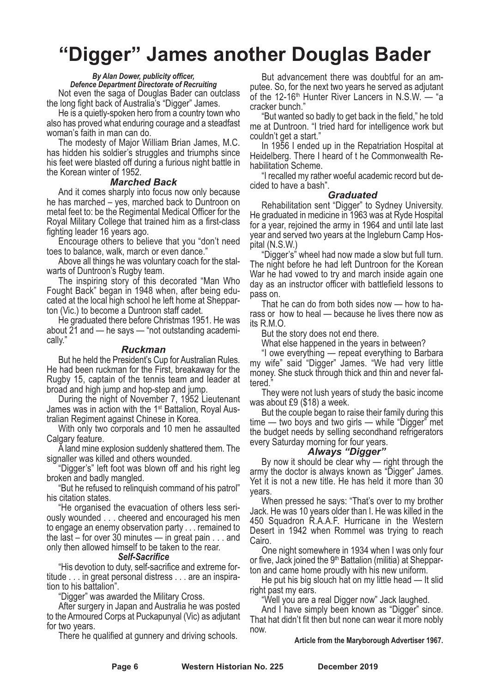## **"Digger" James another Douglas Bader**

#### *By Alan Dower, publicity officer,*

*Defence Department Directorate of Recruiting* Not even the saga of Douglas Bader can outclass

the long fight back of Australia's "Digger" James. He is <sup>a</sup> quietly-spoken hero from <sup>a</sup> country town who also has proved what enduring courage and a steadfast woman's faith in man can do.

The modesty of Major William Brian James, M.C. has hidden his soldier's struggles and triumphs since his feet were blasted off during a furious night battle in the Korean winter of 1952.

#### *Marched Back*

And it comes sharply into focus now only because he has marched – yes, marched back to Duntroon on metal feet to: be the Regimental Medical Officer for the Royal Military College that trained him as a first-class fighting leader 16 years ago.

Encourage others to believe that you "don't need toes to balance, walk, march or even dance."

Above all things he was voluntary coach for the stalwarts of Duntroon's Rugby team.

The inspiring story of this decorated "Man Who Fought Back" began in 1948 when, after being educated at the local high school he left home at Shepparton (Vic.) to become a Duntroon staff cadet.

He graduated there before Christmas 1951. He was about  $\overline{2}1$  and — he says — "not outstanding academically."

#### *Ruckman*

But he held the President's Cup for Australian Rules. He had been ruckman for the First, breakaway for the Rugby 15, captain of the tennis team and leader at broad and high jump and hop-step and jump.

During the night of November 7, 1952 Lieutenant James was in action with the 1<sup>st</sup> Battalion, Royal Aus-<br>tralian Regiment against Chinese in Korea.<br>With only two corporals and 10 men he assaulted

Calgary feature. <sup>A</sup> land mine explosion suddenly shattered them. The

signaller was killed and others wounded. "Digger's" left foot was blown off and his right leg

broken and badly mangled.<br>"But he refused to relinquish command of his patrol"<br>his citation states.<br>"He organised the evacuation of others less seri-<br>ously wounded . . . cheered and encouraged his men

to engage an enemy observation party . . . remained to the last – for over 30 minutes — in great pain . . . and only then allowed himself to be taken to the rear. *Self-Sacrifice*

"His devotion to duty, self-sacrifice and extreme for-<br>titude . . . in great personal distress . . . are an inspira-<br>tion to his battalion". "Digger" was awarded the Military Cross.<br>After surgery in Japan and Australia he

to the Armoured Corps at Puckapunyal (Vic) as adjutant for two years.

There he qualified at gunnery and driving schools.

But advancement there was doubtful for an am- putee. So, for the next two years he served as adjutant of the 12-16<sup>th</sup> Hunter River Lancers in N.S.W.  $-$  "a

cracker bunch." "But wanted so badly to get back in the field," he told me at Duntroon. "I tried hard for intelligence work but couldn't get a start."

In 1956 I ended up in the Repatriation Hospital at Heidelberg. There I heard of t he Commonwealth Rehabilitation Scheme.

"I recalled my rather woeful academic record but decided to have a bash".

#### *Graduated*

Rehabilitation sent "Digger" to Sydney University. He graduated in medicine in 1963 was at Ryde Hospital for a year, rejoined the army in 1964 and until late last year and served two years at the Ingleburn Camp Hospital (N.S.W.)

"Digger's" wheel had now made a slow but full turn. The night before he had left Duntroon for the Korean War he had vowed to try and march inside again one day as an instructor officer with battlefield lessons to pass on.

That he can do from both sides now — how to harass or how to heal — because he lives there now as its R.M.O.

But the story does not end there.

What else happened in the years in between?

"I owe everything — repeat everything to Barbara my wife" said "Digger" James. "We had very little money. She stuck through thick and thin and never faltered."

They were not lush years of study the basic income

was about £9 (\$18) a week.<br>But the couple began to raise their family during this time — two boys and two girls — while "Digger" met the budget needs by selling secondhand refrigerators every Saturday morning for four years.<br>"Always "Digger"

By now it should be clear why — right through the army the doctor is always known as "Digger" James. Yet it is not <sup>a</sup> new title. He has held it more than <sup>30</sup> years.

When pressed he says: "That's over to my brother Jack. He was 10 years older than I. He was killed in the 450 Squadron R.A.A.F. Hurricane in the Western Desert in 1942 when Rommel was trying to reach Cairo.

One night somewhere in 1934 when I was only four or five, Jack joined the 9<sup>th</sup> Battalion (militia) at Shepparton and came home proudly with his new uniform.<br>He put his big slouch hat on my little head — It slid

right past my ears.<br>"Well you are a real Digger now" Jack laughed.<br>And I have simply been known as "Digger" since.<br>That hat didn't fit then but none can wear it more nobly now.

#### **Article from the Maryborough Advertiser 1967.**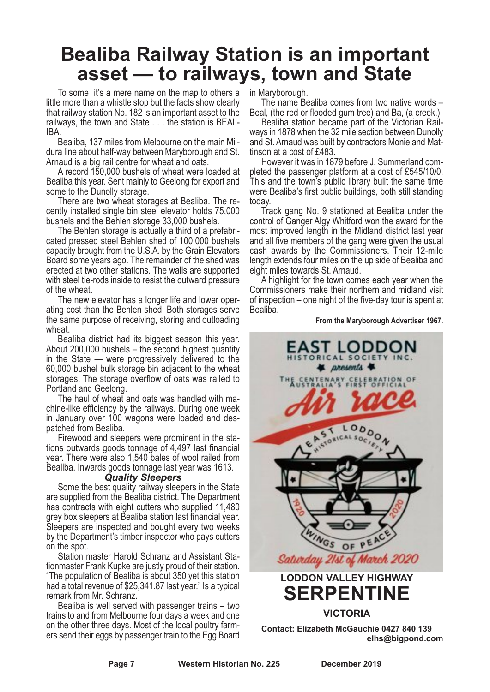### **Bealiba Railway Station is an important asset — to railways, town and State**

To some it's a mere name on the map to others a little more than a whistle stop but the facts show clearly that railway station No. 182 is an important asset to the railways, the town and State . . . the station is BEAL- IBA.

Bealiba, 137 miles from Melbourne on the main Mil-<br>dura line about half-way between Maryborough and St.<br>Arnaud is a big rail centre for wheat and oats.<br>A record 150,000 bushels of wheat were loaded at

Bealiba this year. Sent mainly to Geelong for export and some to the Dunolly storage.

There are two wheat storages at Bealiba. The recently installed single bin steel elevator holds 75,000 bushels and the Behlen storage 33,000 bushels.

The Behlen storage is actually a third of a prefabri-<br>cated pressed steel Behlen shed of 100,000 bushels capacity brought from the U.S.A. by the Grain Elevators Board some years ago. The remainder of the shed was erected at two other stations. The walls are supported with steel tie-rods inside to resist the outward pressure

of the wheat. The new elevator has <sup>a</sup> longer life and lower oper- ating cost than the Behlen shed. Both storages serve the same purpose of receiving, storing and outloading

wheat.<br>Bealiba district had its biggest season this year.<br>About 200,000 bushels – the second highest quantity in the State — were progressively delivered to the 60,000 bushel bulk storage bin adjacent to the wheat storages. The storage overflow of oats was railed to Portland and Geelong.

The haul of wheat and oats was handled with ma-<br>chine-like efficiency by the railways. During one week<br>in January over 100 wagons were loaded and des-

patched from Bealiba.<br>Firewood and sleepers were prominent in the sta-<br>tions outwards goods tonnage of 4,497 last financial year. There were also 1,540 bales of wool railed from Bealiba. Inwards goods tonnage last year was 1613.

#### *Quality Sleepers*

Some the best quality railway sleepers in the State are supplied from the Bealiba district. The Department has contracts with eight cutters who supplied 11,480 arey box sleepers at Bealiba station last financial year. Sleepers are inspected and bought every two weeks. by the Department's timber inspector who pays cutters on the spot.

Station master Harold Schranz and Assistant Stationmaster Frank Kupke are justly proud of their station. "The population of Bealiba is about 350 yet this station had a total revenue of \$25,341.87 last year." Is a typical remark from Mr. Schranz.

Bealiba is well served with passenger trains – two trains to and from Melbourne four days a week and one ers send their eggs by passenger train to the Egg Board

in Maryborough. The name Bealiba comes from two native words – Beal, (the red or flooded gum tree) and Ba, (a creek.)

ways in 1878 when the 32 mile section between Dunolly<br>and St. Arnaud was built by contractors Monie and Mat-

tinson at a cost of £483.<br>However it was in 1879 before J. Summerland completed the passenger platform at a cost of £545/10/0.<br>This and the town's public library built the same time were Bealiba's first public buildings, both still standing today.

Track gang No. 9 stationed at Bealiba under the control of Ganger Algy Whitford won the award for the most improved length in the Midland district last year and all five members of the gang were given the usual cash awards by the Commissioners. Their 12-mile length extends four miles on the up side of Bealiba and

A highlight for the town comes each year when the Commissioners make their northern and midland visit of inspection – one night of the five-day tour is spent at Bealiba.

**From the Maryborough Advertiser 1967.**



**elhs@bigpond.com**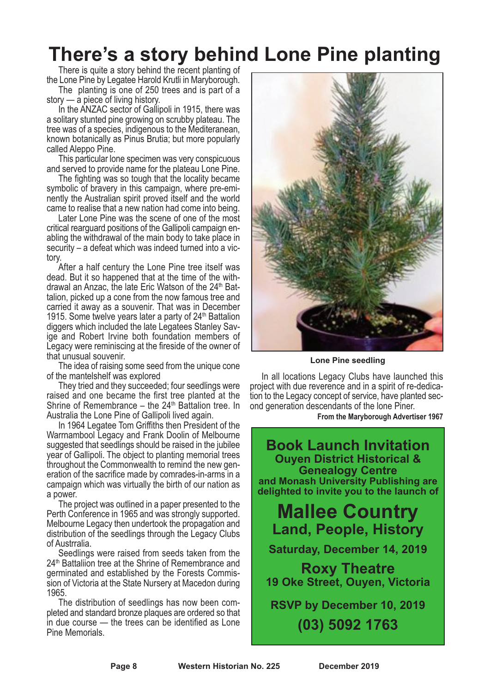## **There's a story behind Lone Pine planting**

There is quite a story behind the recent planting of the Lone Pine by Legatee Harold Krutli in Maryborough.

The planting is one of 250 trees and is part of a story  $-$  a piece of living history.

In the ANZAC sector of Gallipoli in 1915, there was a solitary stunted pine growing on scrubby plateau. The tree was of <sup>a</sup> species, indigenous to the Mediteranean, known botanically as Pinus Brutia; but more popularly

called Aleppo Pine.<br>This particular lone specimen was very conspicuous<br>and served to provide name for the plateau Lone Pine.

The fighting was so tough that the locality became. symbolic of bravery in this campaign, where pre-emi- nently the Australian spirit proved itself and the world

came to realise that a new nation had come into being.<br>Later Lone Pine was the scene of one of the most<br>critical rearguard positions of the Gallipoli campaign enabling the withdrawal of the main body to take place in security – <sup>a</sup> defeat which was indeed turned into <sup>a</sup> vic- tory.

After a half century the Lone Pine tree itself was dead. But it so happened that at the time of the withdrawal an Anzac, the late Eric Watson of the 24<sup>th</sup> Bat-<br>talion, picked up a cone from the now famous tree and carried it away as a souvenir. That was in December 1915. Some twelve years later a party of  $24<sup>th</sup>$  Battalion diggers which included the late Legatees Stanley Savige and Robert Irvine both foundation members of Legacy were reminiscing at the fireside of the owner of

The idea of raising some seed from the unique cone of the mantelshelf was explored

They tried and they succeeded; four seedlings were raised and one became the first tree planted at the Shrine of Remembrance – the  $24<sup>th</sup>$  Battalion tree. In Australia the Lone Pine of Gallipoli lived again.

In 1964 Legatee Tom Griffiths then President of the Warrnambool Legacy and Frank Doolin of Melbourne suggested that seedlings should be raised in the jubilee year of Gallipoli. The object to planting memorial trees throughout the Commonwealth to remind the new gen- eration of the sacrifice made by comrades-in-arms in <sup>a</sup> campaign which was virtually the birth of our nation as

<sup>a</sup> power. The project was outlined in <sup>a</sup> paper presented to the Perth Conference in <sup>1965</sup> and was strongly supported. Melbourne Legacy then undertook the propagation and distribution of the seedlings through the Legacy Clubs

of Austrralia. Seedlings were raised from seeds taken from the 24<sup>th</sup> Battaliion tree at the Shrine of Remembrance and germinated and established by the Forests Commission of Victoria at the State Nursery at Macedon during 1965.

The distribution of seedlings has now been completed and standard bronze plaques are ordered so that in due course — the trees can be identified as Lone Pine Memorials.



**Lone Pine seedling**

In all locations Legacy Clubs have launched this project with due reverence and in <sup>a</sup> spirit of re-dedica- tion to the Legacy concept of service, have planted sec- ond generation descendants of the lone Piner.

**From the Maryborough Advertiser 1967**

**Book Launch Invitation Ouyen District Historical & Genealogy Centre and Monash University Publishing are delighted to invite you to the launch of**

**Mallee Country Land, People, History**

**Saturday, December 14, 2019**

**Roxy Theatre 19 Oke Street, Ouyen, Victoria**

**RSVP by December 10, 2019 (03) 5092 1763**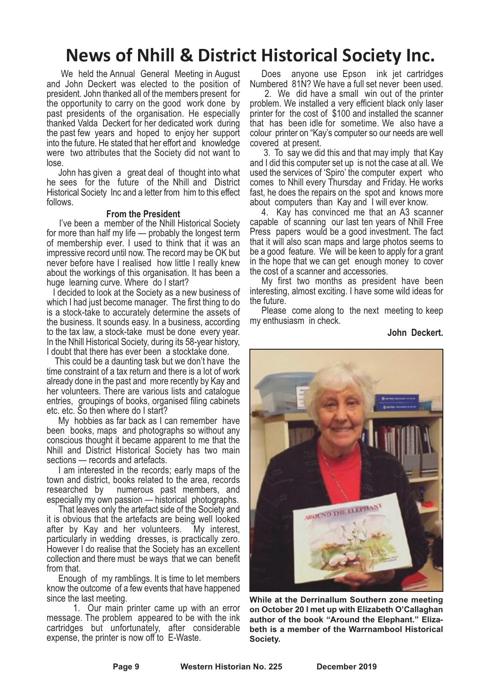### **News of Nhill & District Historical Society Inc.**

We held the Annual General Meeting in August and John Deckert was elected to the position of president. John thanked all of the members present for the opportunity to carry on the good work done by past presidents of the organisation. He especially thanked Valda Deckert for her dedicated work during the past few years and hoped to enjoy her support into the future. He stated that her effort and knowledge were two attributes that the Society did not want to lose.

John has given a great deal of thought into what he sees for the future of the Nhill and District Historical Society Inc and a letter from him to this effect follows.

#### **From the President**

I've been a member of the Nhill Historical Society for more than half my life — probably the longest term of membership ever. I used to think that it was an impressive record until now. The record may be OK but never before have I realised how little I really knew about the workings of this organisation. It has been a huge learning curve. Where do I start?

I decided to look at the Society as a new business of which I had just become manager. The first thing to do is a stock-take to accurately determine the assets of the business. It sounds easy. In a business, according to the tax law, <sup>a</sup> stock-take must be done every year. In the Nhill Historical Society, during its 58-year history, <sup>I</sup> doubt that there has ever been <sup>a</sup> stocktake done. This could be <sup>a</sup> daunting task but we don't have the

time constraint of a tax return and there is a lot of work already done in the past and more recently by Kay and her volunteers. There are various lists and catalogue entries, groupings of books, organised filing cabinets etc. etc. So then where do I start?

My hobbies as far back as I can remember have been books, maps and photographs so without any conscious thought it became apparent to me that the Nhill and District Historical Society has two main sections — records and artefacts.

I am interested in the records; early maps of the town and district, books related to the area, records researched by numerous past members, and numerous past members, and

especially my own passion — historical photographs. That leaves only the artefact side of the Society and it is obvious that the artefacts are being well looked after by Kay and her volunteers. My interest, after by Kay and her volunteers. My interest, particularly in wedding dresses, is practically zero. However I do realise that the Society has an excellent collection and there must be ways that we can benefit from that.

Enough of my ramblings. It is time to let members know the outcome of a few events that have happened since the last meeting.

1. Our main printer came up with an error message. The problem appeared to be with the ink cartridges but unfortunately, after considerable expense, the printer is now off to E-Waste.

Does anyone use Epson ink jet cartridges

Numbered 81N? We have <sup>a</sup> full set never been used. 2. We did have <sup>a</sup> small win out of the printer problem. We installed a very efficient black only laser printer for the cost of \$100 and installed the scanner that has been idle for sometime. We also have a colour printer on "Kay's computer so our needs are well covered at present.

3. To say we did this and that may imply that Kay and I did this computer set up is not the case at all. We used the services of 'Spiro' the computer expert who comes to Nhill every Thursday and Friday. He works fast, he does the repairs on the spot and knows more about computers than Kay and I will ever know.

4. Kay has convinced me that an A3 scanner capable of scanning our last ten years of Nhill Free Press papers would be a good investment. The fact that it will also scan maps and large photos seems to be a good feature. We will be keen to apply for a grant in the hope that we can get enough money to cover the cost of a scanner and accessories.

My first two months as president have been interesting, almost exciting. I have some wild ideas for the future.

Please come along to the next meeting to keep my enthusiasm in check.

#### **John Deckert.**



**While at the Derrinallum Southern zone meeting on October 20 I met up with Elizabeth O'Callaghan author of the book "Around the Elephant." Elizabeth is a member of the Warrnambool Historical Society.**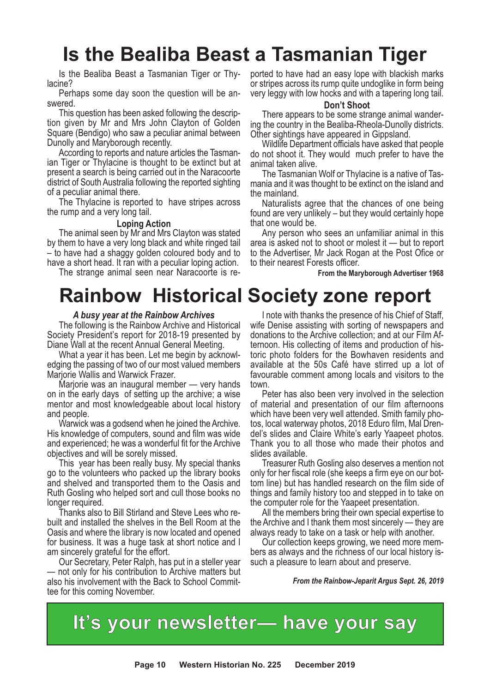## **Is the Bealiba Beast a Tasmanian Tiger**

Is the Bealiba Beast a Tasmanian Tiger or Thylacine?<br>Perhaps some day soon the question will be an-

swered.<br>Phis question has been asked following the descrip-<br>tion\_given\_by\_Mr\_and\_Mrs\_John\_Clayton\_of\_Golden Square (Bendigo) who saw a peculiar animal between

Dunolly and Maryborough recently. According to reports and nature articles the Tasman- ian Tiger or Thylacine is thought to be extinct but at present a search is being carried out in the Naracoorte district of South Australia following the reported sighting of <sup>a</sup> peculiar animal there. The Thylacine is reported to have stripes across

the rump and a very long tail.

#### **Loping Action**

The animal seen by Mr and Mrs Clayton was stated by them to have a very long black and white ringed tail – to have had a shaggy golden coloured body and to have a short head. It ran with a peculiar loping action.

The strange animal seen near Naracoorte is re-

## **Rainbow Historical Society zone report**

#### *A busy year at the Rainbow Archives*

The following is the Rainbow Archive and Historical Society President's report for 2018-19 presented by

Diane Wall at the recent Annual General Meeting.<br>What a year it has been. Let me begin by acknowl-<br>edging the passing of two of our most valued members<br>Marjorie Wallis and Warwick Frazer.

Marjorie was an inaugural member — very hands on in the early days of setting up the archive; a wise mentor and most knowledgeable about local history

and people. Warwick was <sup>a</sup> godsend when he joined the Archive. His knowledge of computers, sound and film was wide and experienced; he was a wonderful fit for the Archive objectives and will be sorely missed. This year has been really busy. My special thanks

go to the volunteers who packed up the library books and shelved and transported them to the Oasis and Ruth Gosling who helped sort and cull those books no<br>longer required.

Thanks also to Bill Stirland and Steve Lees who re-<br>built and installed the shelves in the Bell Room at the Oasis and where the library is now located and opened for business. It was a huge task at short notice and I am sincerely grateful for the effort.

Our Secretary, Peter Ralph, has put in a steller year — not only for his contribution to Archive matters but also his involvement with the Back to School Committee for this coming November.

ported to have had an easy lope with blackish marks or stripes across its rump quite undoglike in form being very leggy with low hocks and with a tapering long tail.

**Don't Shoot**<br>There appears to be some strange animal wandering the country in the Bealiba-Rheola-Dunolly districts.<br>Other sightings have appeared in Gippsland.<br>Wildlife Department officials have asked that people

do not shoot it. They would much prefer to have the animal taken alive.

The Tasmanian Wolf or Thylacine is a native of Tasmania and it was thought to be extinct on the island and the mainland.

Naturalists agree that the chances of one being found are very unlikely – but they would certainly hope that one would be.

Any person who sees an unfamiliar animal in this area is asked not to shoot or molest it — but to report to the Advertiser, Mr Jack Rogan at the Post Ofice or to their nearest Forests officer.

**From the Maryborough Advertiser 1968**

<sup>I</sup> note with thanks the presence of his Chief of Staff, wife Denise assisting with sorting of newspapers and donations to the Archive collection; and at our Film Afternoon. His collecting of items and production of historic photo folders for the Bowhaven residents and available at the 50s Café have stirred up a lot of favourable comment among locals and visitors to the town.

Peter has also been very involved in the selection of material and presentation of our film afternoons which have been very well attended. Smith family photos, local waterway photos, 2018 Eduro film, Mal Dren-<br>del's slides and Claire White's early Yaapeet photos.<br>Thank you to all those who made their photos and

slides available. Treasurer Ruth Gosling also deserves <sup>a</sup> mention not only for her fiscal role (she keeps <sup>a</sup> firm eye on our bot- tom line) but has handled research on the film side of things and family history too and stepped in to take on

the computer role for the Yaapeet presentation. All the members bring their own special expertise to the Archive and I thank them most sincerely — they are always ready to take on a task or help with another.

Our collection keeps growing, we need more members as always and the richness of our local history issuch a pleasure to learn about and preserve.

*From the Rainbow-Jeparit Argus Sept. 26, 2019*

### **It's your newsletter— have your say**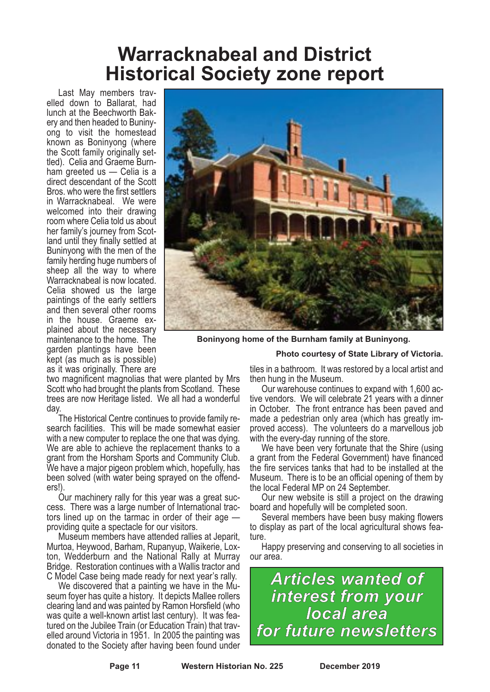## **Warracknabeal and District Historical Society zone report**

Last May members travelled down to Ballarat, had lunch at the Beechworth Bakery and then headed to Buninyong to visit the homestead known as Boninyong (where the Scott family originally settled). Celia and Graeme Burnham greeted us — Celia is a direct descendant of the Scott Bros. who were the first settlers in Warracknabeal. We were welcomed into their drawing room where Celia told us about her family's journey from Scotland until they finally settled at Buninyong with the men of the family herding huge numbers of sheep all the way to where Warracknabeal is now located. Celia showed us the large paintings of the early settlers and then several other rooms in the house. Graeme explained about the necessary maintenance to the home. The garden plantings have been kept (as much as is possible) as it was originally. There are



**Boninyong home of the Burnham family at Buninyong.**

#### **Photo courtesy of State Library of Victoria.**

two magnificent magnolias that were planted by Mrs Scott who had brought the plants from Scotland. These trees are now Heritage listed. We all had a wonderful day.

The Historical Centre continues to provide family research facilities. This will be made somewhat easier with a new computer to replace the one that was dying. We are able to achieve the replacement thanks to a grant from the Horsham Sports and Community Club. We have a major pigeon problem which, hopefully, has been solved (with water being sprayed on the offenders!)

Our machinery rally for this year was a great success. There was a large number of International tractors lined up on the tarmac in order of their age providing quite a spectacle for our visitors.

Museum members have attended rallies at Jeparit, Murtoa, Heywood, Barham, Rupanyup, Waikerie, Lox- ton, Wedderburn and the National Rally at Murray Bridge. Restoration continues with a Wallis tractor and

<sup>C</sup> Model Case being made ready for next year's rally. We discovered that <sup>a</sup> painting we have in the Mu- seum foyer has quite <sup>a</sup> history. It depicts Mallee rollers clearing land and was painted by Ramon Horsfield (who was quite a well-known artist last century). It was featured on the Jubilee Train (or Education Train) that travelled around Victoria in 1951. In 2005 the painting was donated to the Society after having been found under tiles in a bathroom. It was restored by a local artist and then hung in the Museum.

Our warehouse continues to expand with 1,600 active vendors. We will celebrate 21 years with a dinner in October. The front entrance has been paved and made a pedestrian only area (which has greatly improved access). The volunteers do a marvellous job with the every-day running of the store.

We have been very fortunate that the Shire (using a grant from the Federal Government) have financed the fire services tanks that had to be installed at the Museum. There is to be an official opening of them by the local Federal MP on 24 September.

Our new website is still a project on the drawing board and hopefully will be completed soon.

Several members have been busy making flowers to display as part of the local agricultural shows feature.

Happy preserving and conserving to all societies in our area.

*Articles wanted of interest from your local area for future newsletters*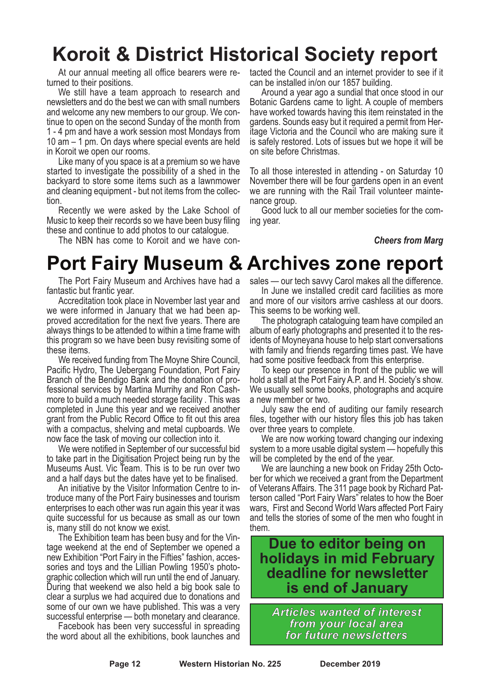## **Koroit & District Historical Society report**

At our annual meeting all office bearers were returned to their positions.

We still have a team approach to research and newsletters and do the best we can with small numbers and welcome any new members to our group. We continue to open on the second Sunday of the month from 1 - 4 pm and have a work session most Mondays from 10 am – 1 pm. On days where special events are held in Koroit we open our rooms.

Like many of you space is at a premium so we have started to investigate the possibility of a shed in the backyard to store some items such as a lawnmower and cleaning equipment - but not items from the collection.

Recently we were asked by the Lake School of Music to keep their records so we have been busy filing these and continue to add photos to our catalogue.

The NBN has come to Koroit and we have con-

tacted the Council and an internet provider to see if it can be installed in/on our 1857 building.

Around a year ago a sundial that once stood in our Botanic Gardens came to light. A couple of members have worked towards having this item reinstated in the gardens. Sounds easy but it required a permit from Heritage Victoria and the Council who are making sure it is safely restored. Lots of issues but we hope it will be on site before Christmas.

To all those interested in attending - on Saturday 10 November there will be four gardens open in an event we are running with the Rail Trail volunteer maintenance group.

Good luck to all our member societies for the coming year.

#### *Cheers from Marg*

## **Port Fairy Museum & Archives zone report**

The Port Fairy Museum and Archives have had a fantastic but frantic year.

Accreditation took place in November last year and we were informed in January that we had been ap-<br>proved accreditation for the next five years. There are always things to be attended to within a time frame with this program so we have been busy revisiting some of

these items. We received funding from The Moyne Shire Council, Pacific Hydro, The Uebergang Foundation, Port Fairy Branch of the Bendigo Bank and the donation of professional services by Martina Murrihy and Ron Cashmore to build a much needed storage facility . This was completed in June this year and we received another grant from the Public Record Office to fit out this area with a compactus, shelving and metal cupboards. We now face the task of moving our collection into it.

We were notified in September of our successful bid to take part in the Digitisation Project being run by the Museums Aust. Vic Team. This is to be run over two and a half days but the dates have yet to be finalised.

An initiative by the Visitor Information Centre to introduce many of the Port Fairy businesses and tourism enterprises to each other was run again this year it was quite successful for us because as small as our town is, many still do not know we exist.

The Exhibition team has been busy and for the Vin- tage weekend at the end of September we opened <sup>a</sup> new Exhibition "Port Fairy in the Fifties" fashion, accessories and toys and the Lillian Powling 1950's photographic collection which will run until the end of January. During that weekend we also held a big book sale to clear a surplus we had acquired due to donations and some of our own we have published. This was a very successful enterprise — both monetary and clearance.

Facebook has been very successful in spreading the word about all the exhibitions, book launches and sales — our tech savvy Carol makes all the difference.<br>In June we installed credit card facilities as more<br>and more of our visitors arrive cashless at our doors.

This seems to be working well.<br>The photograph cataloguing team have compiled an album of early photographs and presented it to the res- idents of Moyneyana house to help start conversations with family and friends regarding times past. We have

had some positive feedback from this enterprise. To keep our presence in front of the public we will hold a stall at the Port Fairy A.P. and H. Society's show. We usually sell some books, photographs and acquire a new member or two.

July saw the end of auditing our family research files, together with our history files this job has taken over three years to complete.

We are now working toward changing our indexing system to a more usable digital system — hopefully this will be completed by the end of the year.

We are launching a new book on Friday 25th October for which we received a grant from the Department of Veterans Affairs. The 311 page book by Richard Patterson called "Port Fairy Wars" relates to how the Boer wars, First and Second World Wars affected Port Fairy and tells the stories of some of the men who fought in them.

#### **Due to editor being on holidays in mid February deadline for newsletter is end of January**

*Articles wanted of interest from your local area for future newsletters*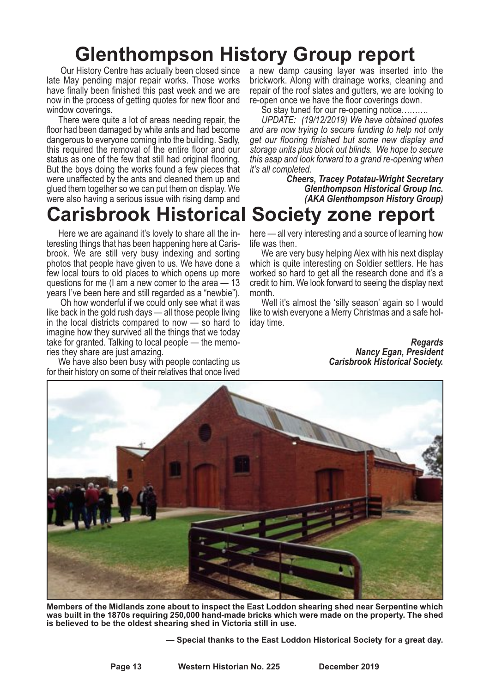## **Glenthompson History Group report**

Our History Centre has actually been closed since late May pending major repair works. Those works have finally been finished this past week and we are now in the process of getting quotes for new floor and

window coverings.<br>There were quite a lot of areas needing repair, the floor had been damaged by white ants and had become dangerous to everyone coming into the building. Sadly, this required the removal of the entire floor and our status as one of the few that still had original flooring. But the boys doing the works found a few pieces that were unaffected by the ants and cleaned them up and glued them together so we can put them on display. We were also having a serious issue with rising damp and

### **Carisbrook Historical Society zone report**

Here we are againand it's lovely to share all the interesting things that has been happening here at Carisbrook. We are still very busy indexing and sorting photos that people have given to us. We have done a few local tours to old places to which opens up more questions for me (I am a new comer to the area — 13 years I've been here and still regarded as a "newbie").

Oh how wonderful if we could only see what it was like back in the gold rush days — all those people living in the local districts compared to now — so hard to imagine how they survived all the things that we today take for granted. Talking to local people — the memories they share are just amazing.

We have also been busy with people contacting us for their history on some of their relatives that once lived a new damp causing layer was inserted into the brickwork. Along with drainage works, cleaning and repair of the roof slates and gutters, we are looking to re-open once we have the floor coverings down.

So stay tuned for our re-opening notice……….

*UPDATE: (19/12/2019) We have obtained quotes and are now trying to secure funding to help not only get our flooring finished but some new display and storage units plus block out blinds. We hope to secure this asap and look forward to a grand re-opening when*

*it's all completed. Cheers, Tracey Potatau-Wright Secretary Glenthompson Historical Group Inc. (AKA Glenthompson History Group)*

here — all very interesting and a source of learning how life was then.

We are very busy helping Alex with his next display which is quite interesting on Soldier settlers. He has worked so hard to get all the research done and it's a credit to him. We look forward to seeing the display next month.

Well it's almost the 'silly season' again so I would like to wish everyone a Merry Christmas and a safe holiday time.

> *Regards Nancy Egan, President Carisbrook Historical Society.*



**Members of the Midlands zone about to inspect the East Loddon shearing shed near Serpentine which was built in the 1870s requiring 250,000 hand-made bricks which were made on the property. The shed is believed to be the oldest shearing shed in Victoria still in use.**

**— Special thanks to the East Loddon Historical Society for a great day.**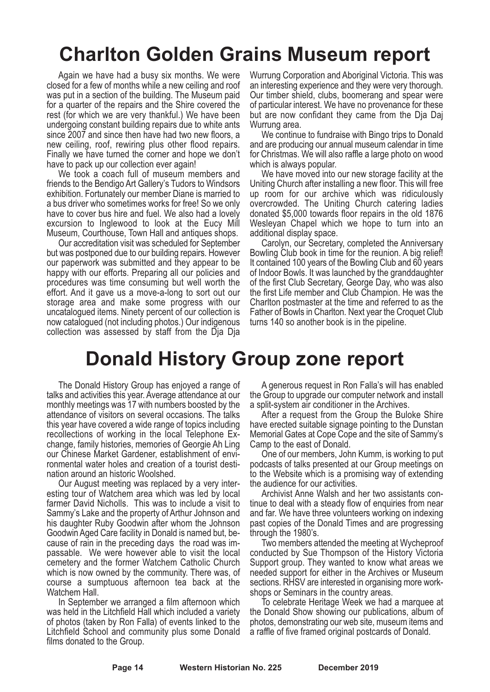## **Charlton Golden Grains Museum report**

Again we have had a busy six months. We were closed for a few of months while a new ceiling and roof was put in a section of the building. The Museum paid for a quarter of the repairs and the Shire covered the rest (for which we are very thankful.) We have been undergoing constant building repairs due to white ants since 2007 and since then have had two new floors, a new ceiling, roof, rewiring plus other flood repairs. Finally we have turned the corner and hope we don't have to pack up our collection ever again!

We took a coach full of museum members and friends to the Bendigo Art Gallery's Tudors to Windsors exhibition. Fortunately our member Diane is married to a bus driver who sometimes works for free! So we only have to cover bus hire and fuel. We also had a lovely excursion to Inglewood to look at the Eucy Mill

Museum, Courthouse, Town Hall and antiques shops. Our accreditation visit was scheduled for September but was postponed due to our building repairs. However our paperwork was submitted and they appear to be happy with our efforts. Preparing all our policies and procedures was time consuming but well worth the effort. And it gave us a move-a-long to sort out our storage area and make some progress with our uncatalogued items. Ninety percent of our collection is now catalogued (not including photos.) Our indigenous collection was assessed by staff from the Dja Dja

Wurrung Corporation and Aboriginal Victoria. This was an interesting experience and they were very thorough. Our timber shield, clubs, boomerang and spear were of particular interest. We have no provenance for these but are now confidant they came from the Dja Daj

Wurrung area. We continue to fundraise with Bingo trips to Donald and are producing our annual museum calendar in time for Christmas. We will also raffle a large photo on wood

which is always popular. We have moved into our new storage facility at the Uniting Church after installing a new floor. This will free up room for our archive which was ridiculously overcrowded. The Uniting Church catering ladies donated \$5,000 towards floor repairs in the old 1876 Wesleyan Chapel which we hope to turn into an

additional display space. Carolyn, our Secretary, completed the Anniversary Bowling Club book in time for the reunion. A big relief! It contained 100 years of the Bowling Club and 60 years of Indoor Bowls. It was launched by the granddaughter of the first Club Secretary, George Day, who was also the first Life member and Club Champion. He was the Charlton postmaster at the time and referred to as the Father of Bowls in Charlton. Next year the Croquet Club turns 140 so another book is in the pipeline.

## **Donald History Group zone report**

The Donald History Group has enjoyed a range of talks and activities this year. Average attendance at our monthly meetings was 17 with numbers boosted by the attendance of visitors on several occasions. The talks this year have covered a wide range of topics including recollections of working in the local Telephone Exchange, family histories, memories of Georgie Ah Ling our Chinese Market Gardener, establishment of environmental water holes and creation of a tourist destination around an historic Woolshed.

Our August meeting was replaced by a very interesting tour of Watchem area which was led by local farmer David Nicholls. This was to include a visit to Sammy's Lake and the property of Arthur Johnson and his daughter Ruby Goodwin after whom the Johnson Goodwin Aged Care facility in Donald is named but, be- cause of rain in the preceding days the road was im- passable. We were however able to visit the local cemetery and the former Watchem Catholic Church which is now owned by the community. There was, of course a sumptuous afternoon tea back at the

Watchem Hall.<br>In September we arranged a film afternoon which was held in the Litchfield Hall which included a variety of photos (taken by Ron Falla) of events linked to the Litchfield School and community plus some Donald films donated to the Group.

A generous request in Ron Falla's will has enabled the Group to upgrade our computer network and install a split-system air conditioner in the Archives.

After a request from the Group the Buloke Shire have erected suitable signage pointing to the Dunstan Memorial Gates at Cope Cope and the site of Sammy's Camp to the east of Donald.

One of our members, John Kumm, is working to put podcasts of talks presented at our Group meetings on to the Website which is a promising way of extending the audience for our activities.

Archivist Anne Walsh and her two assistants continue to deal with a steady flow of enquiries from near and far. We have three volunteers working on indexing past copies of the Donald Times and are progressing

through the 1980's. Two members attended the meeting at Wycheproof conducted by Sue Thompson of the History Victoria Support group. They wanted to know what areas we needed support for either in the Archives or Museum sections. RHSV are interested in organising more work- shops or Seminars in the country areas. To celebrate Heritage Week we had <sup>a</sup> marquee at

the Donald Show showing our publications, album of photos, demonstrating our web site, museum items and a raffle of five framed original postcards of Donald.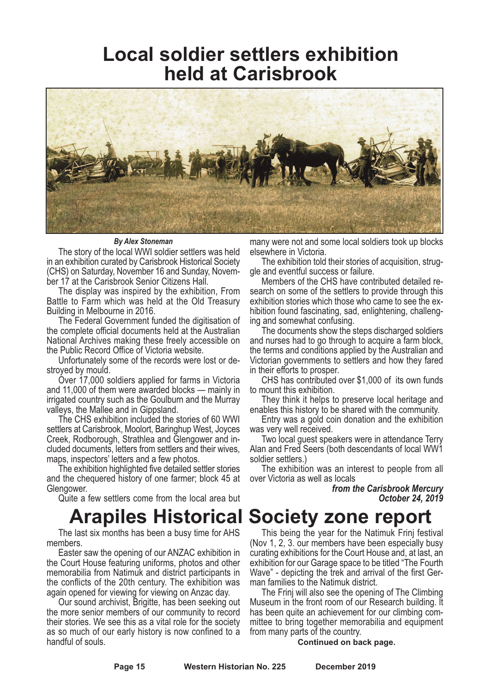### **Local soldier settlers exhibition held at Carisbrook**



*By Alex Stoneman*

The story of the local WWI soldier settlers was held in an exhibition curated by Carisbrook Historical Society (CHS) on Saturday, November 16 and Sunday, November 17 at the Carisbrook Senior Citizens Hall.

The display was inspired by the exhibition, From Battle to Farm which was held at the Old Treasury Building in Melbourne in 2016.

The Federal Government funded the digitisation of the complete official documents held at the Australian National Archives making these freely accessible on the Public Record Office of Victoria website.

Unfortunately some of the records were lost or destroyed by mould.

Over 17,000 soldiers applied for farms in Victoria and 11,000 of them were awarded blocks — mainly in irrigated country such as the Goulburn and the Murray valleys, the Mallee and in Gippsland.

The CHS exhibition included the stories of 60 WWI settlers at Carisbrook, Moolort, Baringhup West, Joyces Creek, Rodborough, Strathlea and Glengower and in- cluded documents, letters from settlers and their wives, maps, inspectors' letters and <sup>a</sup> few photos. The exhibition highlighted five detailed settler stories

and the chequered history of one farmer; block 45 at Glengower. Quite <sup>a</sup> few settlers come from the local area but

The last six months has been a busy time for AHS

Easter saw the opening of our ANZAC exhibition in the Court House featuring uniforms, photos and other memorabilia from Natimuk and district participants in the conflicts of the 20th century. The exhibition was

again opened for viewing for viewing on Anzac day. Our sound archivist, Brigitte, has been seeking out the more senior members of our community to record their stories. We see this as a vital role for the society as so much of our early history is now confined to a handful of souls.

many were not and some local soldiers took up blocks elsewhere in Victoria.

The exhibition told their stories of acquisition, struggle and eventful success or failure.

Members of the CHS have contributed detailed research on some of the settlers to provide through this exhibition stories which those who came to see the exhibition found fascinating, sad, enlightening, challenging and somewhat confusing.

The documents show the steps discharged soldiers and nurses had to go through to acquire a farm block, the terms and conditions applied by the Australian and Victorian governments to settlers and how they fared in their efforts to prosper.

CHS has contributed over \$1,000 of its own funds

to mount this exhibition. They think it helps to preserve local heritage and

enables this history to be shared with the community. Entry was <sup>a</sup> gold coin donation and the exhibition

was very well received. Two local guest speakers were in attendance Terry Alan and Fred Seers (both descendants of local WW1 soldier settlers.)

The exhibition was an interest to people from all over Victoria as well as locals

> *from the Carisbrook Mercury October 24, 2019*

### **Arapiles Historical Society zone report**

This being the year for the Natimuk Frinj festival (Nov 1, 2, 3. our members have been especially busy curating exhibitions for the Court House and, at last, an exhibition for our Garage space to be titled "The Fourth Wave" - depicting the trek and arrival of the first Ger-<br>man families to the Natimuk district.<br>The Frinj will also see the opening of The Climbing

Museum in the front room of our Research building. lt has been quite an achievement for our climbing committee to bring together memorabilia and equipment from many parts of the country.

**Continued on back page.**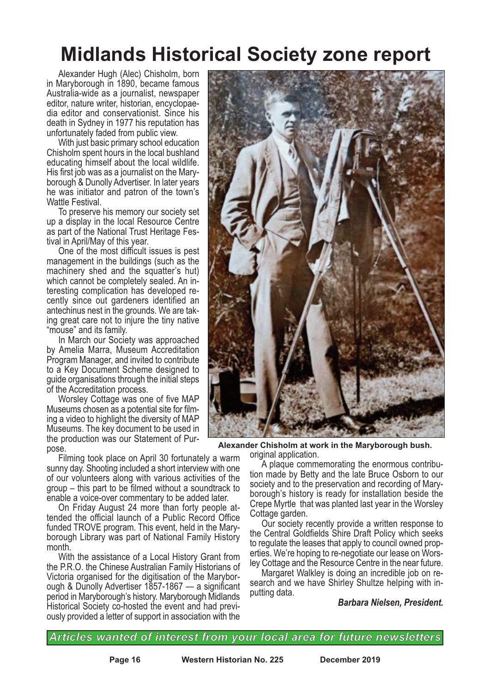## **Midlands Historical Society zone report**

Alexander Hugh (Alec) Chisholm, born in Maryborough in 1890, became famous Australia-wide as a journalist, newspaper editor, nature writer, historian, encyclopaedia editor and conservationist. Since his death in Sydney in 1977 his reputation has unfortunately faded from public view.

With just basic primary school education Chisholm spent hours in the local bushland educating himself about the local wildlife. His first job was as a journalist on the Maryborough & Dunolly Advertiser. In later years he was initiator and patron of the town's Wattle Festival.

To preserve his memory our society set up a display in the local Resource Centre as part of the National Trust Heritage Festival in April/May of this year.

One of the most difficult issues is pest management in the buildings (such as the machinery shed and the squatter's hut) which cannot be completely sealed. An interesting complication has developed recently since out gardeners identified an antechinus nest in the grounds. We are taking great care not to injure the tiny native "mouse" and its family.

In March our Society was approached by Amelia Marra, Museum Accreditation Program Manager, and invited to contribute to a Key Document Scheme designed to guide organisations through the initial steps

of the Accreditation process. Worsley Cottage was one of five MAP ing a video to highlight the diversity of MAP Museums. The key document to be used in the production was our Statement of Pur- pose.

Filming took place on April 30 fortunately a warm sunny day. Shooting included a short interview with one of our volunteers along with various activities of the group – this part to be filmed without a soundtrack to

enable a voice-over commentary to be added later.<br>On Friday August 24 more than forty people at-<br>tended the official launch of a Public Record Office funded TROVE program. This event, held in the Mary- borough Library was part of National Family History month.

With the assistance of a Local History Grant from the P.R.O. the Chinese Australian Family Historians of Victoria organised for the digitisation of the Maryborough & Dunolly Advertiser 1857-1867 — a significant period in Maryborough's history. Maryborough Midlands Historical Society co-hosted the event and had previously provided a letter of support in association with the



**Alexander Chisholm at work in the Maryborough bush.**

original application. <sup>A</sup> plaque commemorating the enormous contribu- tion made by Betty and the late Bruce Osborn to our society and to the preservation and recording of Mary- borough's history is ready for installation beside the Crepe Myrtle that was planted last year in the Worsley

Cottage garden. Our society recently provide <sup>a</sup> written response to the Central Goldfields Shire Draft Policy which seeks to regulate the leases that apply to council owned properties. We're hoping to re-negotiate our lease on Worsley Cottage and the Resource Centre in the near future.

Margaret Walkley is doing an incredible job on research and we have Shirley Shultze helping with inputting data.

#### *Barbara Nielsen, President.*

*Articles wanted of interest from your local area for future newsletters*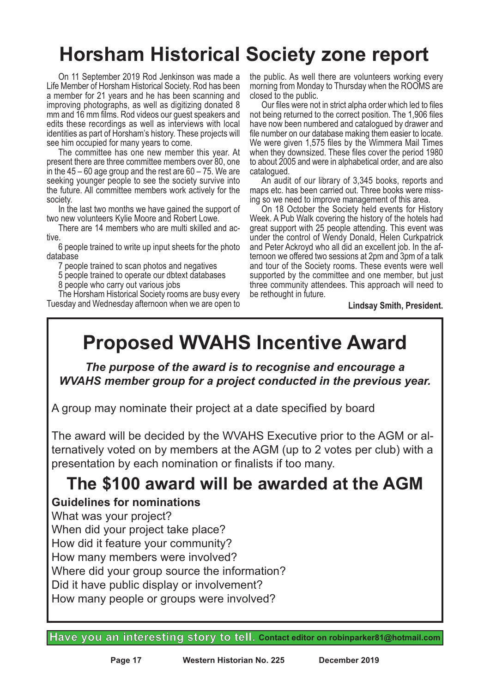## **Horsham Historical Society zone report**

On 11 September 2019 Rod Jenkinson was made a Life Member of Horsham Historical Society. Rod has been a member for 21 years and he has been scanning and improving photographs, as well as digitizing donated 8 mm and 16 mm films. Rod videos our guest speakers and edits these recordings as well as interviews with local identities as part of Horsham's history. These projects will see him occupied for many years to come.

The committee has one new member this year. At present there are three committee members over 80, one in the  $45 - 60$  age group and the rest are  $60 - 75$ . We are seeking younger people to see the society survive into the future. All committee members work actively for the

society.<br>In the last two months we have gained the support of<br>two new volunteers Kylie Moore and Robert Lowe.

There are 14 members who are multi skilled and active.

6 people trained to write up input sheets for the photo database

7 people trained to scan photos and negatives

5 people trained to operate our dbtext databases

8 people who carry out various jobs

The Horsham Historical Society rooms are busy every Tuesday and Wednesday afternoon when we are open to

the public. As well there are volunteers working every morning from Monday to Thursday when the ROOMS are closed to the public.

Our files were not in strict alpha order which led to files not being returned to the correct position. The 1,906 files have now been numbered and catalogued by drawer and file number on our database making them easier to locate. We were given 1,575 files by the Wimmera Mail Times when they downsized. These files cover the period 1980 to about 2005 and were in alphabetical order, and are also

An audit of our library of 3,345 books, reports and maps etc. has been carried out. Three books were miss-<br>ing so we need to improve management of this area.<br>On 18 October the Society held events for History

Week. A Pub Walk covering the history of the hotels had great support with 25 people attending. This event was under the control of Wendy Donald, Helen Curkpatrick<br>and Peter Ackroyd who all did an excellent job. In the afternoon we offered two sessions at 2pm and 3pm of a talk and tour of the Society rooms. These events were well supported by the committee and one member, but just three community attendees. This approach will need to be rethought in future.

**Lindsay Smith, President.**

## **Proposed WVAHS Incentive Award**

*The purpose of the award is to recognise and encourage a WVAHS member group for a project conducted in the previous year.*

A group may nominate their project at a date specified by board

The award will be decided by the WVAHS Executive prior to the AGM or alternatively voted on by members at the AGM (up to 2 votes per club) with a presentation by each nomination or finalists if too many.

## **The \$100 award will be awarded at the AGM**

**Guidelines for nominations**

What was your project? When did your project take place? How did it feature your community? How many members were involved? Where did your group source the information? Did it have public display or involvement? How many people or groups were involved?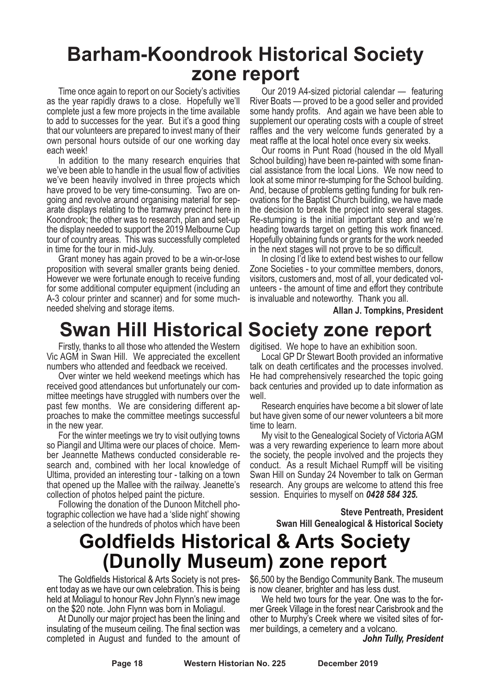### **Barham-Koondrook Historical Society zone report**

Time once again to report on our Society's activities as the year rapidly draws to a close. Hopefully we'll complete just a few more projects in the time available to add to successes for the year. But it's a good thing that our volunteers are prepared to invest many of their own personal hours outside of our one working day each week!

In addition to the many research enquiries that we've been able to handle in the usual flow of activities we've been heavily involved in three projects which have proved to be very time-consuming. Two are ongoing and revolve around organising material for separate displays relating to the tramway precinct here in Koondrook; the other was to research, plan and set-up the display needed to support the 2019 Melbourne Cup tour of country areas. This was successfully completed in time for the tour in mid-July.

Grant money has again proved to be a win-or-lose proposition with several smaller grants being denied. However we were fortunate enough to receive funding for some additional computer equipment (including an A-3 colour printer and scanner) and for some muchneeded shelving and storage items.

## **Swan Hill Historical Society zone report**

Firstly, thanks to all those who attended the Western Vic AGM in Swan Hill. We appreciated the excellent numbers who attended and feedback we received.

Over winter we held weekend meetings which has received good attendances but unfortunately our committee meetings have struggled with numbers over the past few months. We are considering different approaches to make the committee meetings successful in the new year.

For the winter meetings we try to visit outlying towns so Piangil and Ultima were our places of choice. Member Jeannette Mathews conducted considerable research and, combined with her local knowledge of Ultima, provided an interesting tour - talking on a town that opened up the Mallee with the railway. Jeanette's collection of photos helped paint the picture.

Following the donation of the Dunoon Mitchell pho- tographic collection we have had <sup>a</sup> 'slide night' showing a selection of the hundreds of photos which have been

Our 2019 A4-sized pictorial calendar — featuring River Boats — proved to be a good seller and provided some handy profits. And again we have been able to supplement our operating costs with a couple of street raffles and the very welcome funds generated by a meat raffle at the local hotel once every six weeks.

Our rooms in Punt Road (housed in the old Myall School building) have been re-painted with some financial assistance from the local Lions. We now need to look at some minor re-stumping for the School building. And, because of problems getting funding for bulk renovations for the Baptist Church building, we have made the decision to break the project into several stages. Re-stumping is the initial important step and we're heading towards target on getting this work financed. Hopefully obtaining funds or grants for the work needed in the next stages will not prove to be so difficult.

In closing I'd like to extend best wishes to our fellow Zone Societies - to your committee members, donors, visitors, customers and, most of all, your dedicated volunteers - the amount of time and effort they contribute is invaluable and noteworthy. Thank you all.

**Allan J. Tompkins, President**

digitised. We hope to have an exhibition soon.

Local GP Dr Stewart Booth provided an informative talk on death certificates and the processes involved. He had comprehensively researched the topic going back centuries and provided up to date information as well.

Research enquiries have become a bit slower of late but have given some of our newer volunteers a bit more time to learn.

My visit to the Genealogical Society of Victoria AGM was a very rewarding experience to learn more about the society, the people involved and the projects they conduct. As a result Michael Rumpff will be visiting Swan Hill on Sunday 24 November to talk on German research. Any groups are welcome to attend this free session. Enquiries to myself on *0428 584 325.*

> **Steve Pentreath, President Swan Hill Genealogical & Historical Society**

## **Goldfields Historical & Arts Society (Dunolly Museum) zone report**

The Goldfields Historical & Arts Society is not present today as we have our own celebration. This is being held at Moliagul to honour Rev John Flynn's new image on the \$20 note. John Flynn was born in Moliagul.

At Dunolly our major project has been the lining and insulating of the museum ceiling. The final section was completed in August and funded to the amount of

\$6,500 by the Bendigo Community Bank. The museum is now cleaner, brighter and has less dust.

We held two tours for the year. One was to the former Greek Village in the forest near Carisbrook and the other to Murphy's Creek where we visited sites of former buildings, a cemetery and a volcano.

*John Tully, President*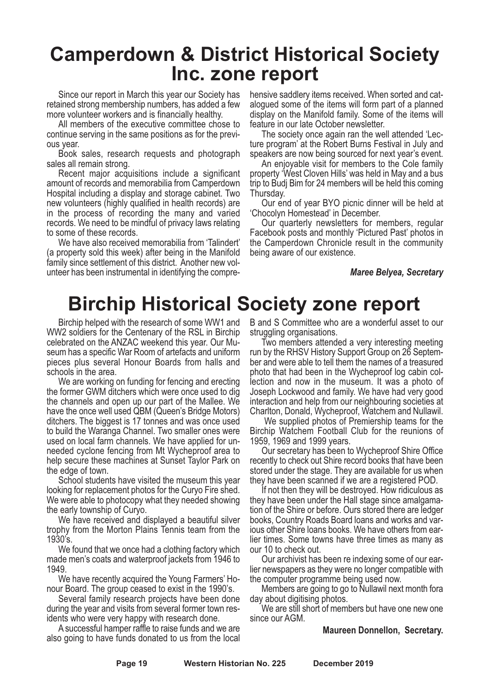## **Camperdown & District Historical Society Inc. zone report**

Since our report in March this year our Society has retained strong membership numbers, has added a few

more volunteer workers and is financially healthy. All members of the executive committee chose to continue serving in the same positions as for the previ- ous year. Book sales, research requests and photograph

sales all remain strong. Recent major acquisitions include <sup>a</sup> significant amount of records and memorabilia from Camperdown Hospital including a display and storage cabinet. Two new volunteers (highly qualified in health records) are in the process of recording the many and varied records. We need to be mindful of privacy laws relating

to some of these records. We have also received memorabilia from 'Talindert' (a property sold this week) after being in the Manifold family since settlement of this district. Another new volunteer has been instrumental in identifying the comprehensive saddlery items received. When sorted and cat- alogued some of the items will form part of <sup>a</sup> planned display on the Manifold family. Some of the items will

feature in our late October newsletter. The society once again ran the well attended 'Lec- ture program' at the Robert Burns Festival in July and

speakers are now being sourced for next year's event. An enjoyable visit for members to the Cole family property 'West Cloven Hills' was held in May and a bus trip to Budj Bim for 24 members will be held this coming

Thursday. Our end of year BYO picnic dinner will be held at 'Chocolyn Homestead' in December. Our quarterly newsletters for members, regular

Facebook posts and monthly 'Pictured Past' photos in the Camperdown Chronicle result in the community being aware of our existence.

#### *Maree Belyea, Secretary*

## **Birchip Historical Society zone report**

Birchip helped with the research of some WW1 and WW2 soldiers for the Centenary of the RSL in Birchip celebrated on the ANZAC weekend this year. Our Museum has a specific War Room of artefacts and uniform pieces plus several Honour Boards from halls and schools in the area.

We are working on funding for fencing and erecting the former GWM ditchers which were once used to dig the channels and open up our part of the Mallee. We have the once well used QBM (Queen's Bridge Motors) ditchers. The biggest is 17 tonnes and was once used to build the Waranga Channel. Two smaller ones were used on local farm channels. We have applied for unneeded cyclone fencing from Mt Wycheproof area to help secure these machines at Sunset Taylor Park on the edge of town.

School students have visited the museum this year looking for replacement photos for the Curyo Fire shed. We were able to photocopy what they needed showing the early township of Curyo.

We have received and displayed a beautiful silver trophy from the Morton Plains Tennis team from the 1930's.

We found that we once had a clothing factory which made men's coats and waterproof jackets from 1946 to

1949.<br>We have recently acquired the Young Farmers' Ho-

nour Board. The group ceased to exist in the 1990's.<br>Several family research projects have been done during the year and visits from several former town res- idents who were very happy with research done.

A successful hamper raffle to raise funds and we are also going to have funds donated to us from the local

B and S Committee who are a wonderful asset to our struggling organisations.

Two members attended a very interesting meeting run by the RHSV History Support Group on 26 September and were able to tell them the names of a treasured photo that had been in the Wycheproof log cabin collection and now in the museum. It was a photo of Joseph Lockwood and family. We have had very good interaction and help from our neighbouring societies at Charlton, Donald, Wycheproof, Watchem and Nullawil.

We supplied photos of Premiership teams for the Birchip Watchem Football Club for the reunions of 1959, 1969 and 1999 years.

Our secretary has been to Wycheproof Shire Office recently to check out Shire record books that have been stored under the stage. They are available for us when they have been scanned if we are a registered POD.

If not then they will be destroyed. How ridiculous as they have been under the Hall stage since amalgamation of the Shire or before. Ours stored there are ledger books, Country Roads Board loans and works and various other Shire loans books. We have others from earlier times. Some towns have three times as many as our 10 to check out.

Our archivist has been re indexing some of our earlier newspapers as they were no longer compatible with the computer programme being used now.

Members are going to go to Nullawil next month fora day about digitising photos.

We are still short of members but have one new one since our AGM.

#### **Maureen Donnellon, Secretary.**